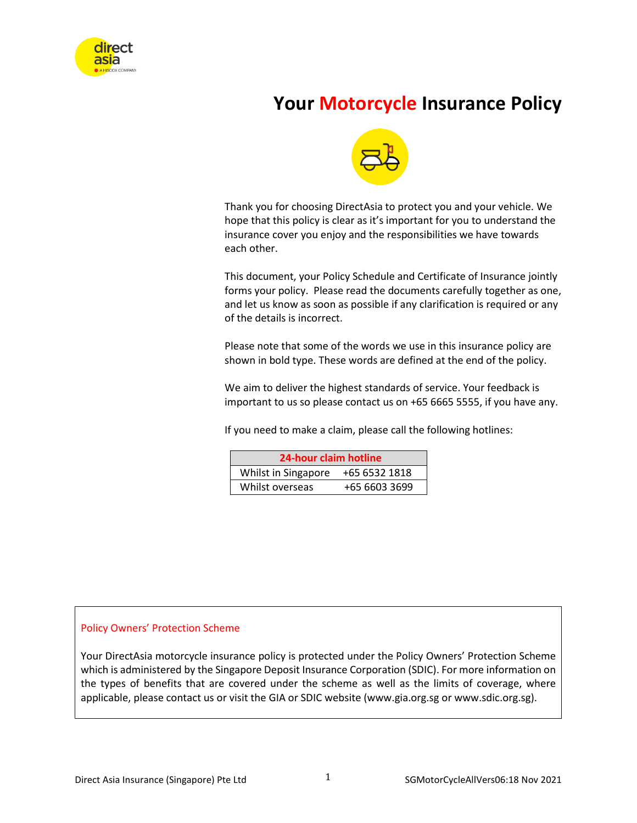

# **Your Motorcycle Insurance Policy**



Thank you for choosing DirectAsia to protect you and your vehicle. We hope that this policy is clear as it's important for you to understand the insurance cover you enjoy and the responsibilities we have towards each other.

This document, your Policy Schedule and Certificate of Insurance jointly forms your policy. Please read the documents carefully together as one, and let us know as soon as possible if any clarification is required or any of the details is incorrect.

Please note that some of the words we use in this insurance policy are shown in bold type. These words are defined at the end of the policy.

We aim to deliver the highest standards of service. Your feedback is important to us so please contact us on +65 6665 5555, if you have any.

If you need to make a claim, please call the following hotlines:

| 24-hour claim hotline                |               |  |  |
|--------------------------------------|---------------|--|--|
| Whilst in Singapore<br>+65 6532 1818 |               |  |  |
| Whilst overseas                      | +65 6603 3699 |  |  |

#### Policy Owners' Protection Scheme

Your DirectAsia motorcycle insurance policy is protected under the Policy Owners' Protection Scheme which is administered by the Singapore Deposit Insurance Corporation (SDIC). For more information on the types of benefits that are covered under the scheme as well as the limits of coverage, where applicable, please contact us or visit the GIA or SDIC website (www.gia.org.sg or www.sdic.org.sg).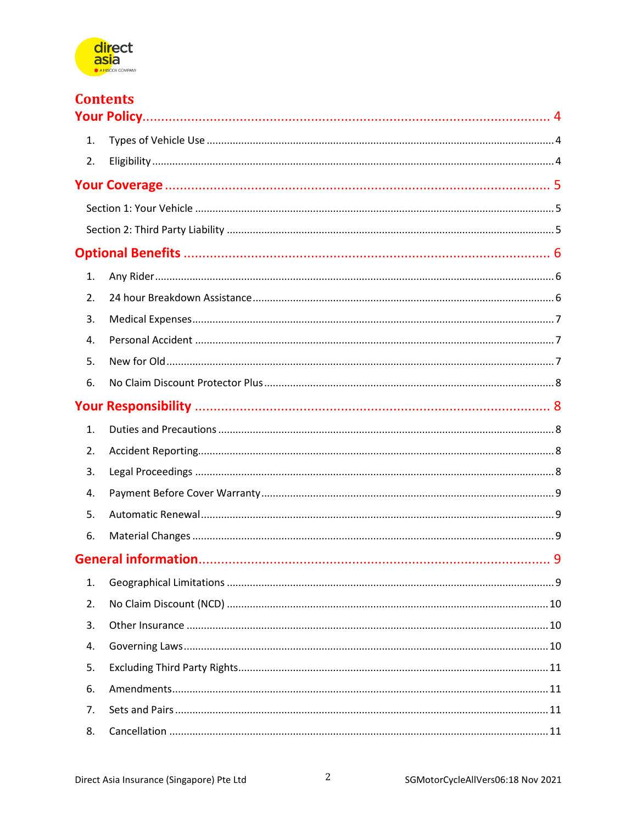

|    | <b>Contents</b> |  |
|----|-----------------|--|
|    |                 |  |
| 1. |                 |  |
| 2. |                 |  |
|    |                 |  |
|    |                 |  |
|    |                 |  |
|    |                 |  |
| 1. |                 |  |
| 2. |                 |  |
| 3. |                 |  |
| 4. |                 |  |
| 5. |                 |  |
| 6. |                 |  |
|    |                 |  |
| 1. |                 |  |
| 2. |                 |  |
| 3. |                 |  |
| 4. |                 |  |
| 5. |                 |  |
| 6. |                 |  |
|    |                 |  |
| 1. |                 |  |
| 2. |                 |  |
| 3. |                 |  |
| 4. |                 |  |
| 5. |                 |  |
| 6. |                 |  |
| 7. |                 |  |
| 8. |                 |  |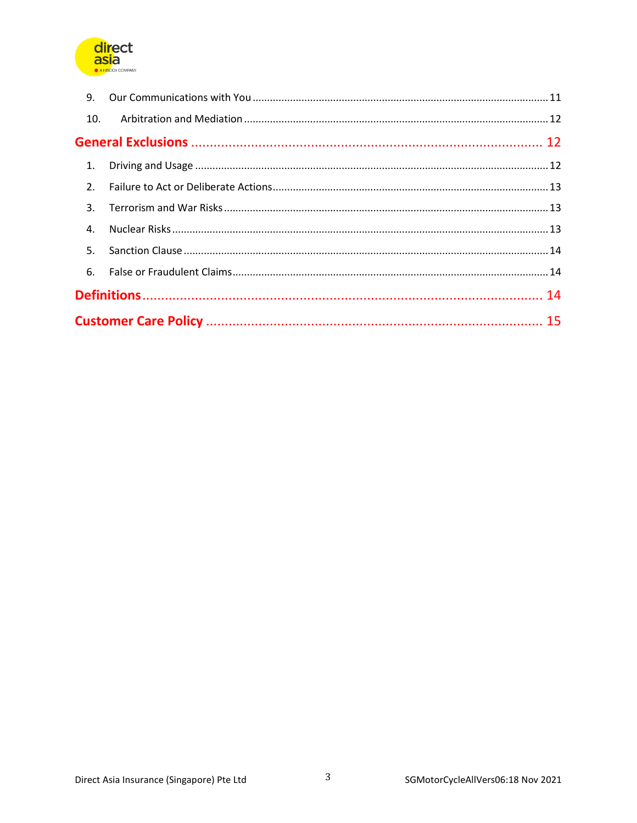

| 9.  |  |  |  |
|-----|--|--|--|
| 10. |  |  |  |
|     |  |  |  |
|     |  |  |  |
| 2.  |  |  |  |
|     |  |  |  |
| 4.  |  |  |  |
| 5.  |  |  |  |
|     |  |  |  |
|     |  |  |  |
|     |  |  |  |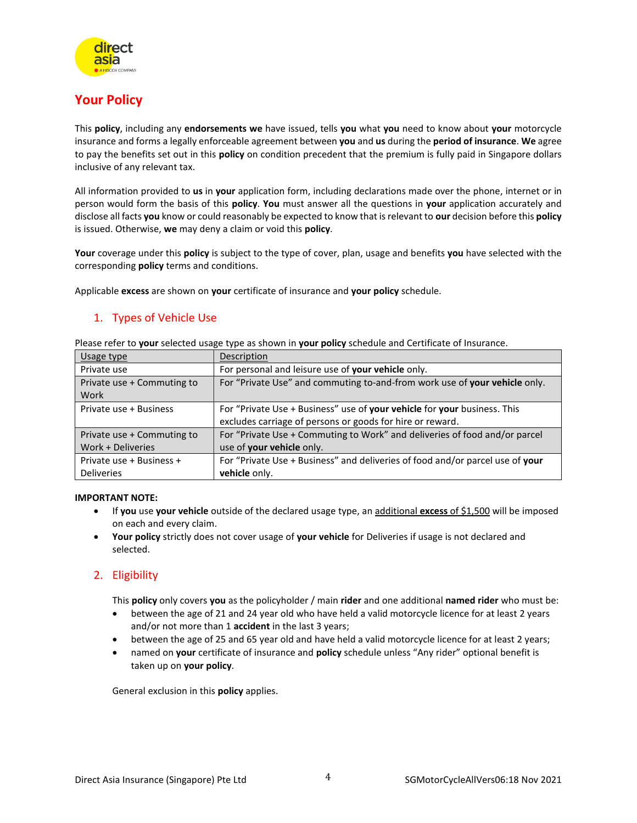

## <span id="page-3-0"></span>**Your Policy**

This **policy**, including any **endorsements we** have issued, tells **you** what **you** need to know about **your** motorcycle insurance and forms a legally enforceable agreement between **you** and **us** during the **period of insurance**. **We** agree to pay the benefits set out in this **policy** on condition precedent that the premium is fully paid in Singapore dollars inclusive of any relevant tax.

All information provided to **us** in **your** application form, including declarations made over the phone, internet or in person would form the basis of this **policy**. **You** must answer all the questions in **your** application accurately and disclose all facts **you** know or could reasonably be expected to know that is relevant to **our** decision before this **policy** is issued. Otherwise, **we** may deny a claim or void this **policy**.

**Your** coverage under this **policy** is subject to the type of cover, plan, usage and benefits **you** have selected with the corresponding **policy** terms and conditions.

Applicable **excess** are shown on **your** certificate of insurance and **your policy** schedule.

### <span id="page-3-1"></span>1. Types of Vehicle Use

| Usage type                 | Description                                                                   |  |
|----------------------------|-------------------------------------------------------------------------------|--|
| Private use                | For personal and leisure use of your vehicle only.                            |  |
| Private use + Commuting to | For "Private Use" and commuting to-and-from work use of your vehicle only.    |  |
| Work                       |                                                                               |  |
| Private use + Business     | For "Private Use + Business" use of your vehicle for your business. This      |  |
|                            | excludes carriage of persons or goods for hire or reward.                     |  |
| Private use + Commuting to | For "Private Use + Commuting to Work" and deliveries of food and/or parcel    |  |
| Work + Deliveries          | use of your vehicle only.                                                     |  |
| Private use + Business +   | For "Private Use + Business" and deliveries of food and/or parcel use of your |  |
| <b>Deliveries</b>          | vehicle only.                                                                 |  |

Please refer to **your** selected usage type as shown in **your policy** schedule and Certificate of Insurance.

#### **IMPORTANT NOTE:**

- If **you** use **your vehicle** outside of the declared usage type, an additional **excess** of \$1,500 will be imposed on each and every claim.
- **Your policy** strictly does not cover usage of **your vehicle** for Deliveries if usage is not declared and selected.

### <span id="page-3-2"></span>2. Eligibility

This **policy** only covers **you** as the policyholder / main **rider** and one additional **named rider** who must be:

- between the age of 21 and 24 year old who have held a valid motorcycle licence for at least 2 years and/or not more than 1 **accident** in the last 3 years;
- between the age of 25 and 65 year old and have held a valid motorcycle licence for at least 2 years;
- named on **your** certificate of insurance and **policy** schedule unless "Any rider" optional benefit is taken up on **your policy**.

General exclusion in this **policy** applies.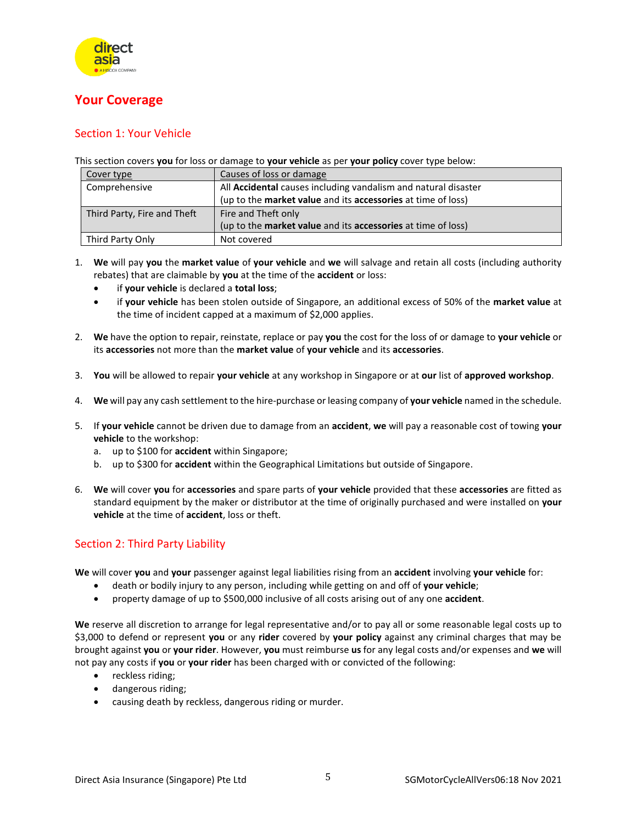

## <span id="page-4-0"></span>**Your Coverage**

### <span id="page-4-1"></span>Section 1: Your Vehicle

This section covers **you** for loss or damage to **your vehicle** as per **your policy** cover type below:

| Cover type                  | Causes of loss or damage                                                   |
|-----------------------------|----------------------------------------------------------------------------|
| Comprehensive               | All Accidental causes including vandalism and natural disaster             |
|                             | (up to the <b>market value</b> and its <b>accessories</b> at time of loss) |
| Third Party, Fire and Theft | Fire and Theft only                                                        |
|                             | (up to the market value and its accessories at time of loss)               |
| Third Party Only            | Not covered                                                                |

- 1. **We** will pay **you** the **market value** of **your vehicle** and **we** will salvage and retain all costs (including authority rebates) that are claimable by **you** at the time of the **accident** or loss:
	- if **your vehicle** is declared a **total loss**;
	- if **your vehicle** has been stolen outside of Singapore, an additional excess of 50% of the **market value** at the time of incident capped at a maximum of \$2,000 applies.
- 2. **We** have the option to repair, reinstate, replace or pay **you** the cost for the loss of or damage to **your vehicle** or its **accessories** not more than the **market value** of **your vehicle** and its **accessories**.
- 3. **You** will be allowed to repair **your vehicle** at any workshop in Singapore or at **our** list of **approved workshop**.
- 4. **We** will pay any cash settlement to the hire-purchase or leasing company of **your vehicle** named in the schedule.
- 5. If **your vehicle** cannot be driven due to damage from an **accident**, **we** will pay a reasonable cost of towing **your vehicle** to the workshop:
	- a. up to \$100 for **accident** within Singapore;
	- b. up to \$300 for **accident** within the Geographical Limitations but outside of Singapore.
- 6. **We** will cover **you** for **accessories** and spare parts of **your vehicle** provided that these **accessories** are fitted as standard equipment by the maker or distributor at the time of originally purchased and were installed on **your vehicle** at the time of **accident**, loss or theft.

### <span id="page-4-2"></span>Section 2: Third Party Liability

**We** will cover **you** and **your** passenger against legal liabilities rising from an **accident** involving **your vehicle** for:

- death or bodily injury to any person, including while getting on and off of **your vehicle**;
- property damage of up to \$500,000 inclusive of all costs arising out of any one **accident**.

**We** reserve all discretion to arrange for legal representative and/or to pay all or some reasonable legal costs up to \$3,000 to defend or represent **you** or any **rider** covered by **your policy** against any criminal charges that may be brought against **you** or **your rider**. However, **you** must reimburse **us** for any legal costs and/or expenses and **we** will not pay any costs if **you** or **your rider** has been charged with or convicted of the following:

- reckless riding;
- dangerous riding;
- causing death by reckless, dangerous riding or murder.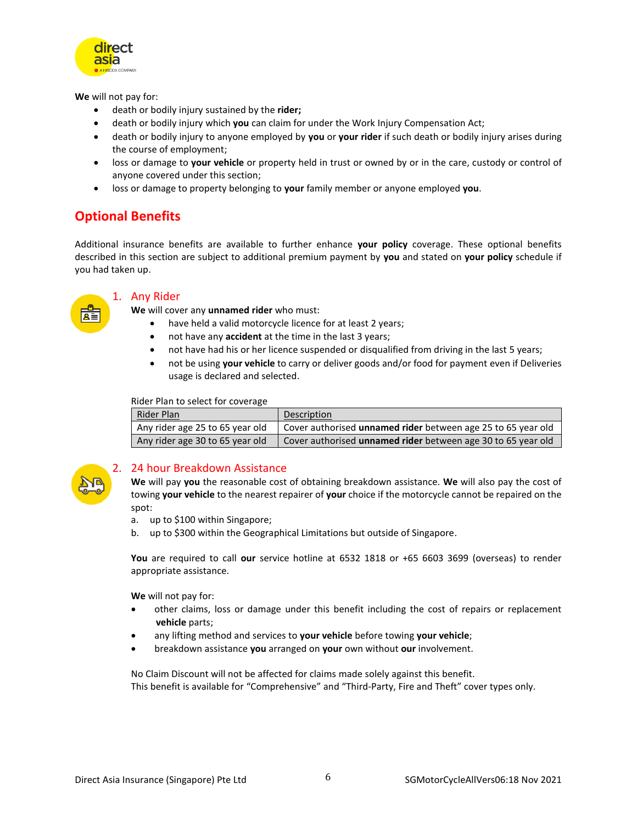

**We** will not pay for:

- death or bodily injury sustained by the **rider;**
- death or bodily injury which **you** can claim for under the Work Injury Compensation Act;
- death or bodily injury to anyone employed by **you** or **your rider** if such death or bodily injury arises during the course of employment;
- loss or damage to **your vehicle** or property held in trust or owned by or in the care, custody or control of anyone covered under this section;
- loss or damage to property belonging to **your** family member or anyone employed **you**.

## <span id="page-5-0"></span>**Optional Benefits**

Additional insurance benefits are available to further enhance **your policy** coverage. These optional benefits described in this section are subject to additional premium payment by **you** and stated on **your policy** schedule if you had taken up.

<span id="page-5-1"></span>

#### 1. Any Rider

**We** will cover any **unnamed rider** who must:

- have held a valid motorcycle licence for at least 2 years;
- not have any **accident** at the time in the last 3 years;
- not have had his or her licence suspended or disqualified from driving in the last 5 years;
- not be using **your vehicle** to carry or deliver goods and/or food for payment even if Deliveries usage is declared and selected.

Rider Plan to select for coverage

| Rider Plan                      | Description                                                  |
|---------------------------------|--------------------------------------------------------------|
| Any rider age 25 to 65 year old | Cover authorised unnamed rider between age 25 to 65 year old |
| Any rider age 30 to 65 year old | Cover authorised unnamed rider between age 30 to 65 year old |

<span id="page-5-2"></span>

#### 2. 24 hour Breakdown Assistance

**We** will pay **you** the reasonable cost of obtaining breakdown assistance. **We** will also pay the cost of towing **your vehicle** to the nearest repairer of **your** choice if the motorcycle cannot be repaired on the spot:

- a. up to \$100 within Singapore;
- b. up to \$300 within the Geographical Limitations but outside of Singapore.

**You** are required to call **our** service hotline at 6532 1818 or +65 6603 3699 (overseas) to render appropriate assistance.

**We** will not pay for:

- other claims, loss or damage under this benefit including the cost of repairs or replacement **vehicle** parts;
- any lifting method and services to **your vehicle** before towing **your vehicle**;
- breakdown assistance **you** arranged on **your** own without **our** involvement.

No Claim Discount will not be affected for claims made solely against this benefit. This benefit is available for "Comprehensive" and "Third-Party, Fire and Theft" cover types only.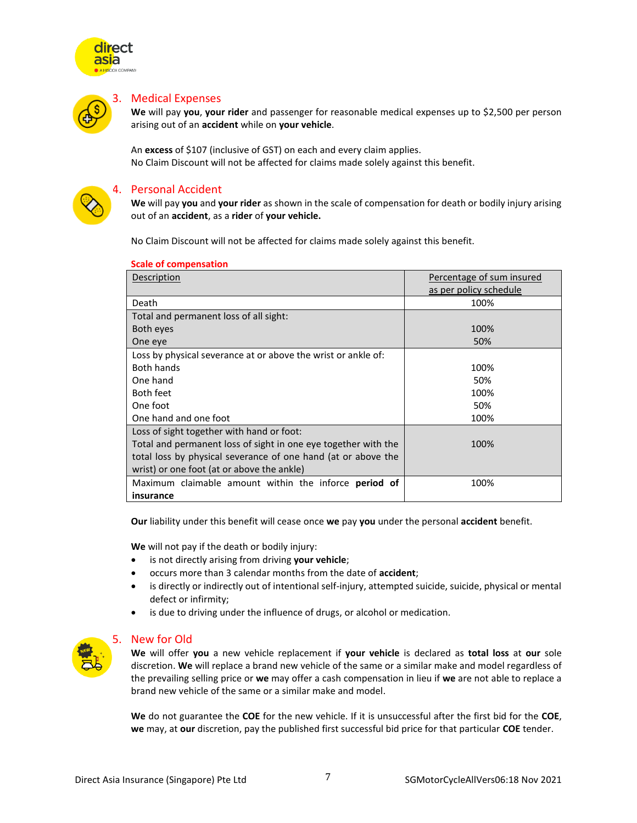

<span id="page-6-0"></span>

#### 3. Medical Expenses

**We** will pay **you**, **your rider** and passenger for reasonable medical expenses up to \$2,500 per person arising out of an **accident** while on **your vehicle**.

An **excess** of \$107 (inclusive of GST) on each and every claim applies. No Claim Discount will not be affected for claims made solely against this benefit.

<span id="page-6-1"></span>

#### 4. Personal Accident

**We** will pay **you** and **your rider** as shown in the scale of compensation for death or bodily injury arising out of an **accident**, as a **rider** of **your vehicle.** 

No Claim Discount will not be affected for claims made solely against this benefit.

| Description                                                    | Percentage of sum insured |
|----------------------------------------------------------------|---------------------------|
|                                                                | as per policy schedule    |
| Death                                                          | 100%                      |
| Total and permanent loss of all sight:                         |                           |
| Both eyes                                                      | 100%                      |
| One eve                                                        | 50%                       |
| Loss by physical severance at or above the wrist or ankle of:  |                           |
| <b>Both hands</b>                                              | 100%                      |
| One hand                                                       | 50%                       |
| Both feet                                                      | 100%                      |
| One foot                                                       | 50%                       |
| One hand and one foot                                          | 100%                      |
| Loss of sight together with hand or foot:                      |                           |
| Total and permanent loss of sight in one eye together with the | 100%                      |
| total loss by physical severance of one hand (at or above the  |                           |
| wrist) or one foot (at or above the ankle)                     |                           |
| Maximum claimable amount within the inforce <b>period of</b>   | 100%                      |
| insurance                                                      |                           |

#### **Scale of compensation**

**Our** liability under this benefit will cease once **we** pay **you** under the personal **accident** benefit.

**We** will not pay if the death or bodily injury:

- is not directly arising from driving **your vehicle**;
- occurs more than 3 calendar months from the date of **accident**;
- is directly or indirectly out of intentional self-injury, attempted suicide, suicide, physical or mental defect or infirmity;
- is due to driving under the influence of drugs, or alcohol or medication.

<span id="page-6-2"></span>

#### 5. New for Old

**We** will offer **you** a new vehicle replacement if **your vehicle** is declared as **total loss** at **our** sole discretion. **We** will replace a brand new vehicle of the same or a similar make and model regardless of the prevailing selling price or **we** may offer a cash compensation in lieu if **we** are not able to replace a brand new vehicle of the same or a similar make and model.

**We** do not guarantee the **COE** for the new vehicle. If it is unsuccessful after the first bid for the **COE**, **we** may, at **our** discretion, pay the published first successful bid price for that particular **COE** tender.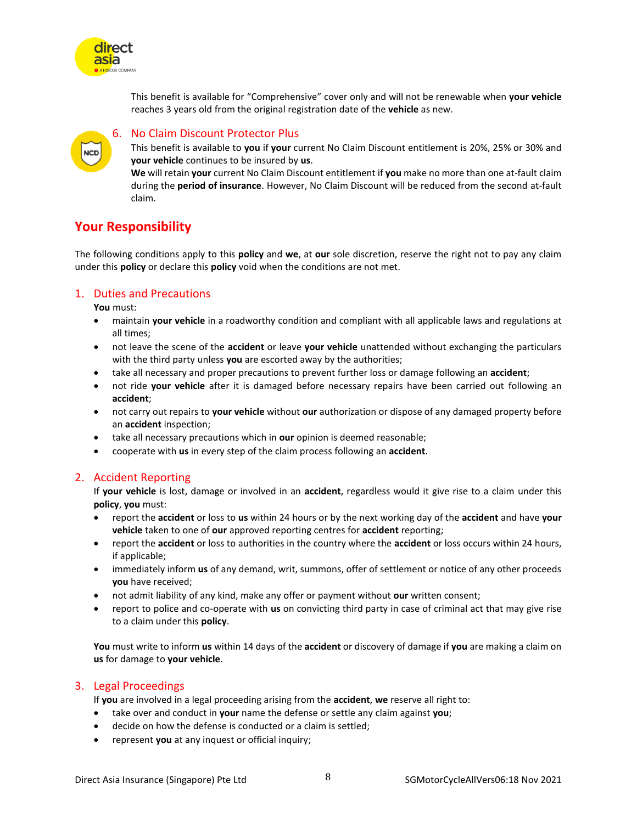

### 6. No Claim Discount Protector Plus

This benefit is available to **you** if **your** current No Claim Discount entitlement is 20%, 25% or 30% and **your vehicle** continues to be insured by **us**.

**We** will retain **your** current No Claim Discount entitlement if **you** make no more than one at-fault claim during the **period of insurance**. However, No Claim Discount will be reduced from the second at-fault claim.

### <span id="page-7-1"></span>**Your Responsibility**

The following conditions apply to this **policy** and **we**, at **our** sole discretion, reserve the right not to pay any claim under this **policy** or declare this **policy** void when the conditions are not met.

#### <span id="page-7-2"></span>1. Duties and Precautions

**You** must:

direct asia

<span id="page-7-0"></span>**NCD** 

- maintain **your vehicle** in a roadworthy condition and compliant with all applicable laws and regulations at all times;
- not leave the scene of the **accident** or leave **your vehicle** unattended without exchanging the particulars with the third party unless **you** are escorted away by the authorities;
- take all necessary and proper precautions to prevent further loss or damage following an **accident**;
- not ride **your vehicle** after it is damaged before necessary repairs have been carried out following an **accident**;
- not carry out repairs to **your vehicle** without **our** authorization or dispose of any damaged property before an **accident** inspection;
- take all necessary precautions which in **our** opinion is deemed reasonable;
- cooperate with **us** in every step of the claim process following an **accident**.

#### <span id="page-7-3"></span>2. Accident Reporting

If **your vehicle** is lost, damage or involved in an **accident**, regardless would it give rise to a claim under this **policy**, **you** must:

- report the **accident** or loss to **us** within 24 hours or by the next working day of the **accident** and have **your vehicle** taken to one of **our** approved reporting centres for **accident** reporting;
- report the **accident** or loss to authorities in the country where the **accident** or loss occurs within 24 hours, if applicable;
- immediately inform **us** of any demand, writ, summons, offer of settlement or notice of any other proceeds **you** have received;
- not admit liability of any kind, make any offer or payment without **our** written consent;
- report to police and co-operate with **us** on convicting third party in case of criminal act that may give rise to a claim under this **policy**.

**You** must write to inform **us** within 14 days of the **accident** or discovery of damage if **you** are making a claim on **us** for damage to **your vehicle**.

#### <span id="page-7-4"></span>3. Legal Proceedings

If **you** are involved in a legal proceeding arising from the **accident**, **we** reserve all right to:

- take over and conduct in **your** name the defense or settle any claim against **you**;
- decide on how the defense is conducted or a claim is settled;
- represent **you** at any inquest or official inquiry;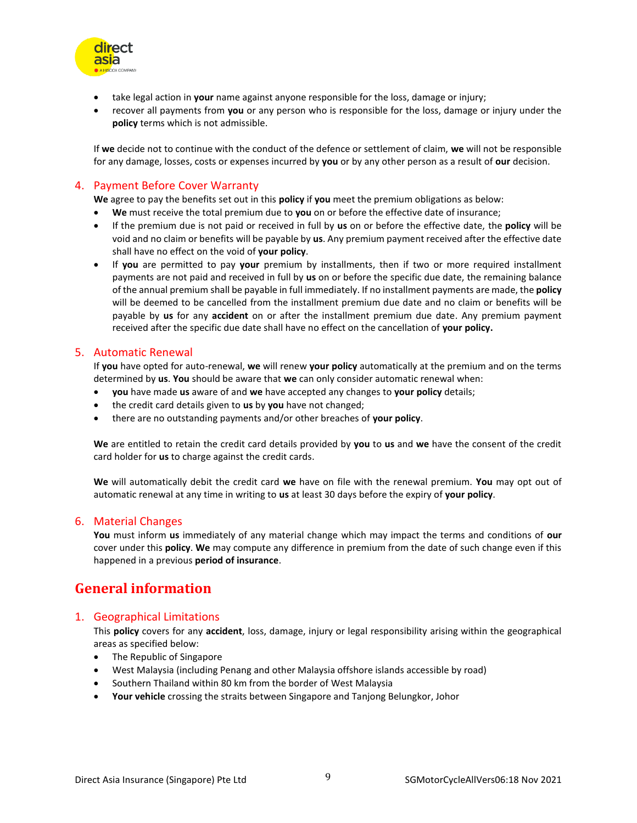

- take legal action in **your** name against anyone responsible for the loss, damage or injury;
- recover all payments from **you** or any person who is responsible for the loss, damage or injury under the **policy** terms which is not admissible.

If **we** decide not to continue with the conduct of the defence or settlement of claim, **we** will not be responsible for any damage, losses, costs or expenses incurred by **you** or by any other person as a result of **our** decision.

#### <span id="page-8-0"></span>4. Payment Before Cover Warranty

**We** agree to pay the benefits set out in this **policy** if **you** meet the premium obligations as below:

- **We** must receive the total premium due to **you** on or before the effective date of insurance;
- If the premium due is not paid or received in full by **us** on or before the effective date, the **policy** will be void and no claim or benefits will be payable by **us**. Any premium payment received after the effective date shall have no effect on the void of **your policy**.
- If **you** are permitted to pay **your** premium by installments, then if two or more required installment payments are not paid and received in full by **us** on or before the specific due date, the remaining balance of the annual premium shall be payable in full immediately. If no installment payments are made, the **policy** will be deemed to be cancelled from the installment premium due date and no claim or benefits will be payable by **us** for any **accident** on or after the installment premium due date. Any premium payment received after the specific due date shall have no effect on the cancellation of **your policy.**

#### <span id="page-8-1"></span>5. Automatic Renewal

If **you** have opted for auto-renewal, **we** will renew **your policy** automatically at the premium and on the terms determined by **us**. **You** should be aware that **we** can only consider automatic renewal when:

- **you** have made **us** aware of and **we** have accepted any changes to **your policy** details;
- the credit card details given to **us** by **you** have not changed;
- there are no outstanding payments and/or other breaches of **your policy**.

**We** are entitled to retain the credit card details provided by **you** to **us** and **we** have the consent of the credit card holder for **us** to charge against the credit cards.

**We** will automatically debit the credit card **we** have on file with the renewal premium. **You** may opt out of automatic renewal at any time in writing to **us** at least 30 days before the expiry of **your policy**.

#### <span id="page-8-2"></span>6. Material Changes

**You** must inform **us** immediately of any material change which may impact the terms and conditions of **our** cover under this **policy**. **We** may compute any difference in premium from the date of such change even if this happened in a previous **period of insurance**.

## <span id="page-8-3"></span>**General information**

#### <span id="page-8-4"></span>1. Geographical Limitations

This **policy** covers for any **accident**, loss, damage, injury or legal responsibility arising within the geographical areas as specified below:

- The Republic of Singapore
- West Malaysia (including Penang and other Malaysia offshore islands accessible by road)
- Southern Thailand within 80 km from the border of West Malaysia
- **Your vehicle** crossing the straits between Singapore and Tanjong Belungkor, Johor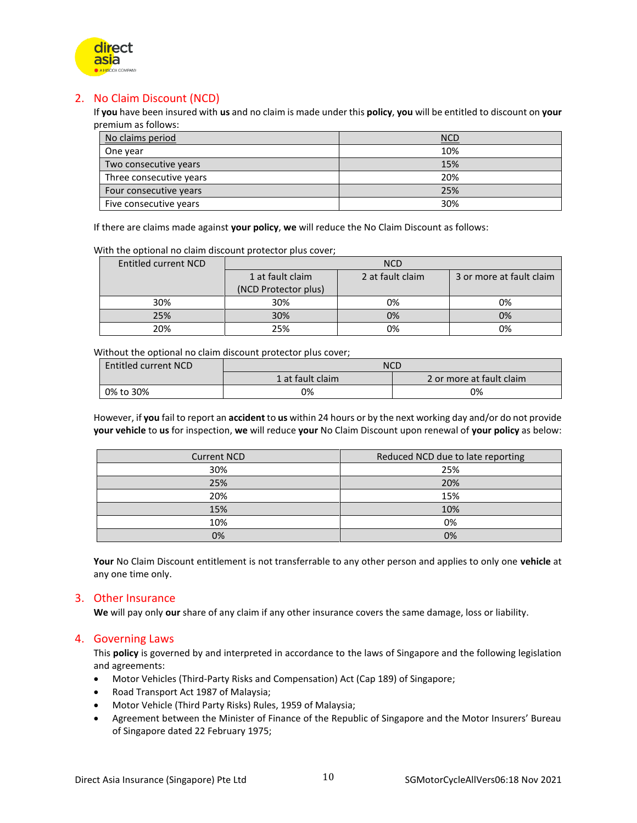

### <span id="page-9-0"></span>2. No Claim Discount (NCD)

If **you** have been insured with **us** and no claim is made under this **policy**, **you** will be entitled to discount on **your** premium as follows:

| No claims period        | <b>NCD</b> |
|-------------------------|------------|
| One year                | 10%        |
| Two consecutive years   | 15%        |
| Three consecutive years | 20%        |
| Four consecutive years  | 25%        |
| Five consecutive years  | 30%        |

If there are claims made against **your policy**, **we** will reduce the No Claim Discount as follows:

With the optional no claim discount protector plus cover;

| Entitled current NCD | <b>NCD</b>           |                  |                          |
|----------------------|----------------------|------------------|--------------------------|
|                      | 1 at fault claim     | 2 at fault claim | 3 or more at fault claim |
|                      | (NCD Protector plus) |                  |                          |
| 30%                  | 30%                  | 0%               | 0%                       |
| 25%                  | 30%                  | 0%               | 0%                       |
| 20%                  | 25%                  | 0%               | 0%                       |

Without the optional no claim discount protector plus cover;

| <b>Entitled current NCD</b> | <b>NCD</b>       |                          |  |
|-----------------------------|------------------|--------------------------|--|
|                             | 1 at fault claim | 2 or more at fault claim |  |
| 0% to 30%                   | 0%               | 0%                       |  |

However, if **you** fail to report an **accident** to **us** within 24 hours or by the next working day and/or do not provide **your vehicle** to **us** for inspection, **we** will reduce **your** No Claim Discount upon renewal of **your policy** as below:

| <b>Current NCD</b> | Reduced NCD due to late reporting |
|--------------------|-----------------------------------|
| 30%                | 25%                               |
| 25%                | 20%                               |
| 20%                | 15%                               |
| 15%                | 10%                               |
| 10%                | 0%                                |
| 0%                 | 0%                                |

**Your** No Claim Discount entitlement is not transferrable to any other person and applies to only one **vehicle** at any one time only.

#### <span id="page-9-1"></span>3. Other Insurance

**We** will pay only **our** share of any claim if any other insurance covers the same damage, loss or liability.

#### <span id="page-9-2"></span>4. Governing Laws

This **policy** is governed by and interpreted in accordance to the laws of Singapore and the following legislation and agreements:

- Motor Vehicles (Third-Party Risks and Compensation) Act (Cap 189) of Singapore;
- Road Transport Act 1987 of Malaysia;
- Motor Vehicle (Third Party Risks) Rules, 1959 of Malaysia;
- Agreement between the Minister of Finance of the Republic of Singapore and the Motor Insurers' Bureau of Singapore dated 22 February 1975;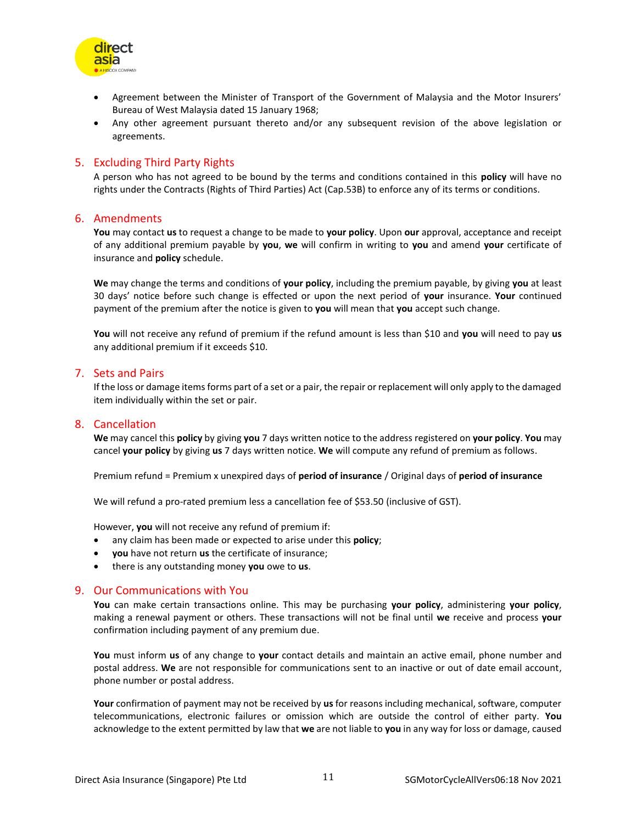

- Agreement between the Minister of Transport of the Government of Malaysia and the Motor Insurers' Bureau of West Malaysia dated 15 January 1968;
- Any other agreement pursuant thereto and/or any subsequent revision of the above legislation or agreements.

#### <span id="page-10-0"></span>5. Excluding Third Party Rights

A person who has not agreed to be bound by the terms and conditions contained in this **policy** will have no rights under the Contracts (Rights of Third Parties) Act (Cap.53B) to enforce any of its terms or conditions.

#### <span id="page-10-1"></span>6. Amendments

**You** may contact **us** to request a change to be made to **your policy**. Upon **our** approval, acceptance and receipt of any additional premium payable by **you**, **we** will confirm in writing to **you** and amend **your** certificate of insurance and **policy** schedule.

**We** may change the terms and conditions of **your policy**, including the premium payable, by giving **you** at least 30 days' notice before such change is effected or upon the next period of **your** insurance. **Your** continued payment of the premium after the notice is given to **you** will mean that **you** accept such change.

**You** will not receive any refund of premium if the refund amount is less than \$10 and **you** will need to pay **us** any additional premium if it exceeds \$10.

#### <span id="page-10-2"></span>7. Sets and Pairs

If the loss or damage items forms part of a set or a pair, the repair or replacement will only apply to the damaged item individually within the set or pair.

#### <span id="page-10-3"></span>8. Cancellation

**We** may cancel this **policy** by giving **you** 7 days written notice to the address registered on **your policy**. **You** may cancel **your policy** by giving **us** 7 days written notice. **We** will compute any refund of premium as follows.

Premium refund = Premium x unexpired days of **period of insurance** / Original days of **period of insurance**

We will refund a pro-rated premium less a cancellation fee of \$53.50 (inclusive of GST).

However, **you** will not receive any refund of premium if:

- any claim has been made or expected to arise under this **policy**;
- **you** have not return **us** the certificate of insurance;
- there is any outstanding money **you** owe to **us**.

#### <span id="page-10-4"></span>9. Our Communications with You

**You** can make certain transactions online. This may be purchasing **your policy**, administering **your policy**, making a renewal payment or others. These transactions will not be final until **we** receive and process **your** confirmation including payment of any premium due.

**You** must inform **us** of any change to **your** contact details and maintain an active email, phone number and postal address. **We** are not responsible for communications sent to an inactive or out of date email account, phone number or postal address.

**Your** confirmation of payment may not be received by **us** for reasons including mechanical, software, computer telecommunications, electronic failures or omission which are outside the control of either party. **You** acknowledge to the extent permitted by law that **we** are not liable to **you** in any way for loss or damage, caused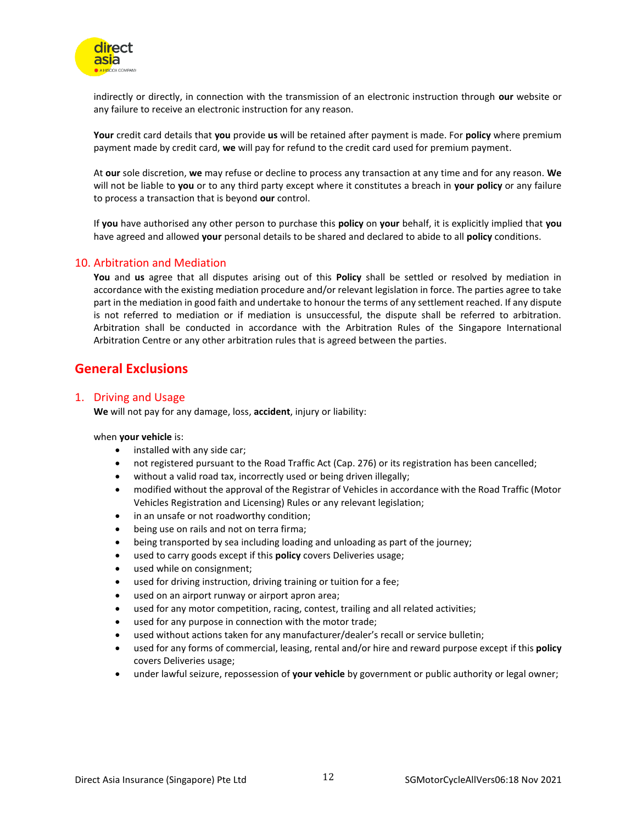

indirectly or directly, in connection with the transmission of an electronic instruction through **our** website or any failure to receive an electronic instruction for any reason.

**Your** credit card details that **you** provide **us** will be retained after payment is made. For **policy** where premium payment made by credit card, **we** will pay for refund to the credit card used for premium payment.

At **our** sole discretion, **we** may refuse or decline to process any transaction at any time and for any reason. **We** will not be liable to **you** or to any third party except where it constitutes a breach in **your policy** or any failure to process a transaction that is beyond **our** control.

If **you** have authorised any other person to purchase this **policy** on **your** behalf, it is explicitly implied that **you** have agreed and allowed **your** personal details to be shared and declared to abide to all **policy** conditions.

#### <span id="page-11-0"></span>10. Arbitration and Mediation

**You** and **us** agree that all disputes arising out of this **Policy** shall be settled or resolved by mediation in accordance with the existing mediation procedure and/or relevant legislation in force. The parties agree to take part in the mediation in good faith and undertake to honour the terms of any settlement reached. If any dispute is not referred to mediation or if mediation is unsuccessful, the dispute shall be referred to arbitration. Arbitration shall be conducted in accordance with the Arbitration Rules of the Singapore International Arbitration Centre or any other arbitration rules that is agreed between the parties.

### <span id="page-11-1"></span>**General Exclusions**

#### <span id="page-11-2"></span>1. Driving and Usage

**We** will not pay for any damage, loss, **accident**, injury or liability:

#### when **your vehicle** is:

- installed with any side car;
- not registered pursuant to the Road Traffic Act (Cap. 276) or its registration has been cancelled;
- without a valid road tax, incorrectly used or being driven illegally;
- modified without the approval of the Registrar of Vehicles in accordance with the Road Traffic (Motor Vehicles Registration and Licensing) Rules or any relevant legislation;
- in an unsafe or not roadworthy condition;
- being use on rails and not on terra firma;
- being transported by sea including loading and unloading as part of the journey;
- used to carry goods except if this **policy** covers Deliveries usage;
- used while on consignment;
- used for driving instruction, driving training or tuition for a fee;
- used on an airport runway or airport apron area;
- used for any motor competition, racing, contest, trailing and all related activities;
- used for any purpose in connection with the motor trade;
- used without actions taken for any manufacturer/dealer's recall or service bulletin;
- used for any forms of commercial, leasing, rental and/or hire and reward purpose except if this **policy** covers Deliveries usage;
- under lawful seizure, repossession of **your vehicle** by government or public authority or legal owner;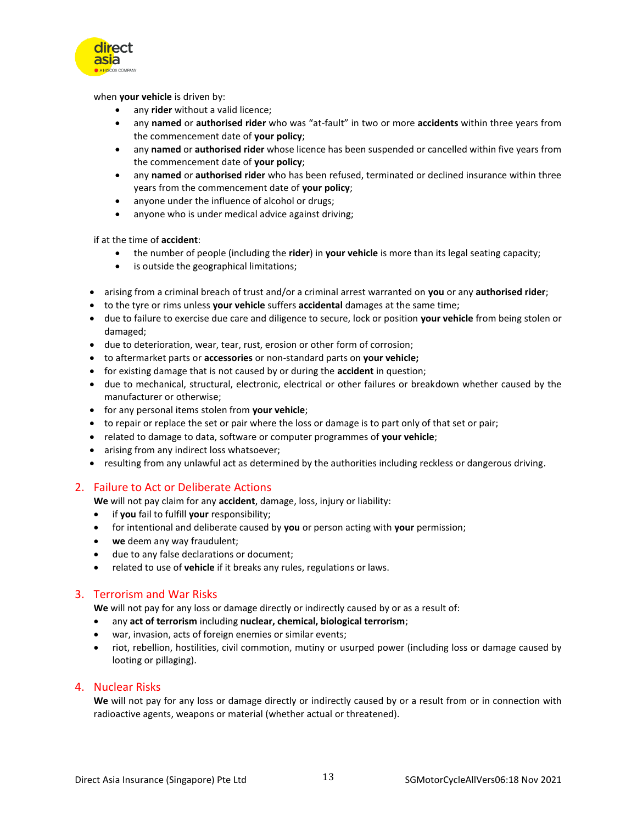

when **your vehicle** is driven by:

- any **rider** without a valid licence;
- any **named** or **authorised rider** who was "at-fault" in two or more **accidents** within three years from the commencement date of **your policy**;
- any **named** or **authorised rider** whose licence has been suspended or cancelled within five years from the commencement date of **your policy**;
- any **named** or **authorised rider** who has been refused, terminated or declined insurance within three years from the commencement date of **your policy**;
- anyone under the influence of alcohol or drugs;
- anyone who is under medical advice against driving;

if at the time of **accident**:

- the number of people (including the **rider**) in **your vehicle** is more than its legal seating capacity;
- is outside the geographical limitations;
- arising from a criminal breach of trust and/or a criminal arrest warranted on **you** or any **authorised rider**;
- to the tyre or rims unless **your vehicle** suffers **accidental** damages at the same time;
- due to failure to exercise due care and diligence to secure, lock or position **your vehicle** from being stolen or damaged;
- due to deterioration, wear, tear, rust, erosion or other form of corrosion;
- to aftermarket parts or **accessories** or non-standard parts on **your vehicle;**
- for existing damage that is not caused by or during the **accident** in question;
- due to mechanical, structural, electronic, electrical or other failures or breakdown whether caused by the manufacturer or otherwise;
- for any personal items stolen from **your vehicle**;
- to repair or replace the set or pair where the loss or damage is to part only of that set or pair;
- related to damage to data, software or computer programmes of **your vehicle**;
- arising from any indirect loss whatsoever;
- resulting from any unlawful act as determined by the authorities including reckless or dangerous driving.

#### <span id="page-12-0"></span>2. Failure to Act or Deliberate Actions

**We** will not pay claim for any **accident**, damage, loss, injury or liability:

- if **you** fail to fulfill **your** responsibility;
- for intentional and deliberate caused by **you** or person acting with **your** permission;
- **we** deem any way fraudulent;
- due to any false declarations or document;
- related to use of **vehicle** if it breaks any rules, regulations or laws.

#### <span id="page-12-1"></span>3. Terrorism and War Risks

**We** will not pay for any loss or damage directly or indirectly caused by or as a result of:

- any **act of terrorism** including **nuclear, chemical, biological terrorism**;
- war, invasion, acts of foreign enemies or similar events;
- riot, rebellion, hostilities, civil commotion, mutiny or usurped power (including loss or damage caused by looting or pillaging).

#### <span id="page-12-2"></span>4. Nuclear Risks

**We** will not pay for any loss or damage directly or indirectly caused by or a result from or in connection with radioactive agents, weapons or material (whether actual or threatened).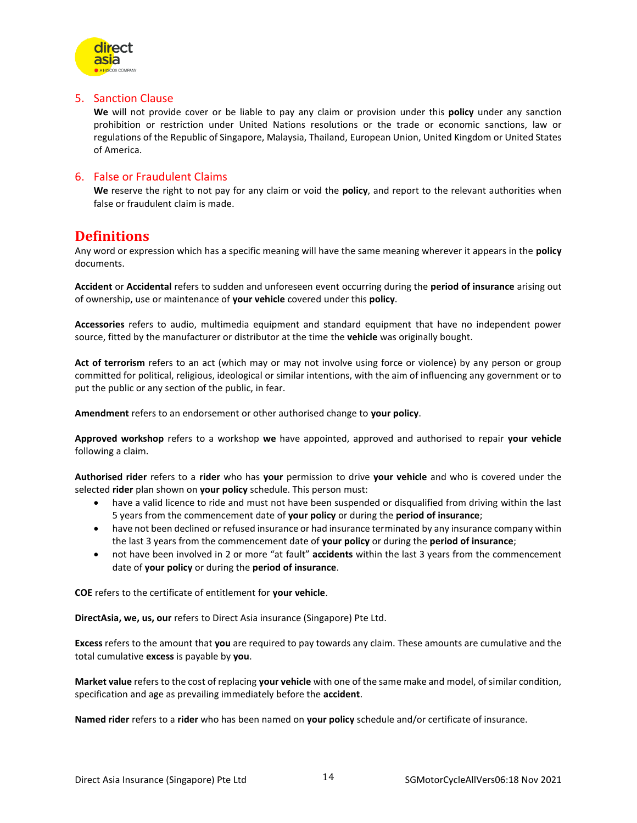

#### <span id="page-13-0"></span>5. Sanction Clause

**We** will not provide cover or be liable to pay any claim or provision under this **policy** under any sanction prohibition or restriction under United Nations resolutions or the trade or economic sanctions, law or regulations of the Republic of Singapore, Malaysia, Thailand, European Union, United Kingdom or United States of America.

#### <span id="page-13-1"></span>6. False or Fraudulent Claims

**We** reserve the right to not pay for any claim or void the **policy**, and report to the relevant authorities when false or fraudulent claim is made.

## <span id="page-13-2"></span>**Definitions**

Any word or expression which has a specific meaning will have the same meaning wherever it appears in the **policy** documents.

**Accident** or **Accidental** refers to sudden and unforeseen event occurring during the **period of insurance** arising out of ownership, use or maintenance of **your vehicle** covered under this **policy**.

**Accessories** refers to audio, multimedia equipment and standard equipment that have no independent power source, fitted by the manufacturer or distributor at the time the **vehicle** was originally bought.

**Act of terrorism** refers to an act (which may or may not involve using force or violence) by any person or group committed for political, religious, ideological or similar intentions, with the aim of influencing any government or to put the public or any section of the public, in fear.

**Amendment** refers to an endorsement or other authorised change to **your policy**.

**Approved workshop** refers to a workshop **we** have appointed, approved and authorised to repair **your vehicle** following a claim.

**Authorised rider** refers to a **rider** who has **your** permission to drive **your vehicle** and who is covered under the selected **rider** plan shown on **your policy** schedule. This person must:

- have a valid licence to ride and must not have been suspended or disqualified from driving within the last 5 years from the commencement date of **your policy** or during the **period of insurance**;
- have not been declined or refused insurance or had insurance terminated by any insurance company within the last 3 years from the commencement date of **your policy** or during the **period of insurance**;
- not have been involved in 2 or more "at fault" **accidents** within the last 3 years from the commencement date of **your policy** or during the **period of insurance**.

**COE** refers to the certificate of entitlement for **your vehicle**.

**DirectAsia, we, us, our** refers to Direct Asia insurance (Singapore) Pte Ltd.

**Excess** refers to the amount that **you** are required to pay towards any claim. These amounts are cumulative and the total cumulative **excess** is payable by **you**.

**Market value** refers to the cost of replacing **your vehicle** with one of the same make and model, of similar condition, specification and age as prevailing immediately before the **accident**.

**Named rider** refers to a **rider** who has been named on **your policy** schedule and/or certificate of insurance.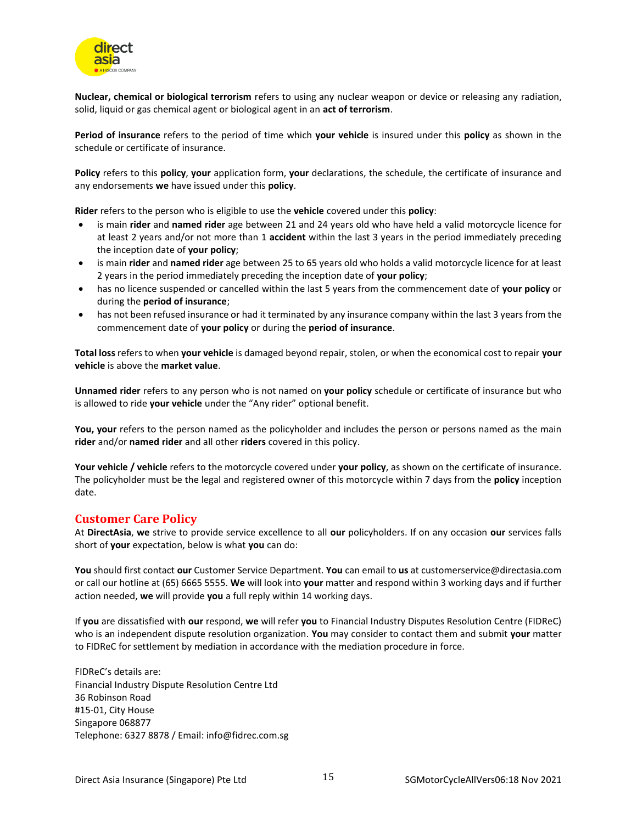

**Nuclear, chemical or biological terrorism** refers to using any nuclear weapon or device or releasing any radiation, solid, liquid or gas chemical agent or biological agent in an **act of terrorism**.

**Period of insurance** refers to the period of time which **your vehicle** is insured under this **policy** as shown in the schedule or certificate of insurance.

**Policy** refers to this **policy**, **your** application form, **your** declarations, the schedule, the certificate of insurance and any endorsements **we** have issued under this **policy**.

**Rider** refers to the person who is eligible to use the **vehicle** covered under this **policy**:

- is main **rider** and **named rider** age between 21 and 24 years old who have held a valid motorcycle licence for at least 2 years and/or not more than 1 **accident** within the last 3 years in the period immediately preceding the inception date of **your policy**;
- is main **rider** and **named rider** age between 25 to 65 years old who holds a valid motorcycle licence for at least 2 years in the period immediately preceding the inception date of **your policy**;
- has no licence suspended or cancelled within the last 5 years from the commencement date of **your policy** or during the **period of insurance**;
- has not been refused insurance or had it terminated by any insurance company within the last 3 years from the commencement date of **your policy** or during the **period of insurance**.

**Total loss** refers to when **your vehicle** is damaged beyond repair, stolen, or when the economical cost to repair **your vehicle** is above the **market value**.

**Unnamed rider** refers to any person who is not named on **your policy** schedule or certificate of insurance but who is allowed to ride **your vehicle** under the "Any rider" optional benefit.

**You, your** refers to the person named as the policyholder and includes the person or persons named as the main **rider** and/or **named rider** and all other **riders** covered in this policy.

**Your vehicle / vehicle** refers to the motorcycle covered under **your policy**, as shown on the certificate of insurance. The policyholder must be the legal and registered owner of this motorcycle within 7 days from the **policy** inception date.

#### <span id="page-14-0"></span>**Customer Care Policy**

At **DirectAsia**, **we** strive to provide service excellence to all **our** policyholders. If on any occasion **our** services falls short of **your** expectation, below is what **you** can do:

**You** should first contact **our** Customer Service Department. **You** can email to **us** at customerservice@directasia.com or call our hotline at (65) 6665 5555. **We** will look into **your** matter and respond within 3 working days and if further action needed, **we** will provide **you** a full reply within 14 working days.

If **you** are dissatisfied with **our** respond, **we** will refer **you** to Financial Industry Disputes Resolution Centre (FIDReC) who is an independent dispute resolution organization. **You** may consider to contact them and submit **your** matter to FIDReC for settlement by mediation in accordance with the mediation procedure in force.

FIDReC's details are: Financial Industry Dispute Resolution Centre Ltd 36 Robinson Road #15-01, City House Singapore 068877 Telephone: 6327 8878 / Email: info@fidrec.com.sg